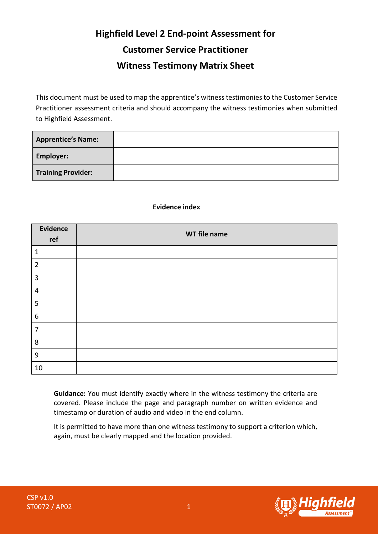## **Highfield Level 2 End-point Assessment for Customer Service Practitioner Witness Testimony Matrix Sheet**

This document must be used to map the apprentice's witness testimoniesto the Customer Service Practitioner assessment criteria and should accompany the witness testimonies when submitted to Highfield Assessment.

| <b>Apprentice's Name:</b> |  |
|---------------------------|--|
| <b>Employer:</b>          |  |
| <b>Training Provider:</b> |  |

## **Evidence index**

| <b>Evidence</b><br>ref  | WT file name |
|-------------------------|--------------|
| $\mathbf{1}$            |              |
| $\overline{2}$          |              |
| $\mathbf{3}$            |              |
| $\overline{\mathbf{4}}$ |              |
| 5                       |              |
| 6                       |              |
| $\overline{7}$          |              |
| 8                       |              |
| $\boldsymbol{9}$        |              |
| 10                      |              |

**Guidance:** You must identify exactly where in the witness testimony the criteria are covered. Please include the page and paragraph number on written evidence and timestamp or duration of audio and video in the end column.

It is permitted to have more than one witness testimony to support a criterion which, again, must be clearly mapped and the location provided.

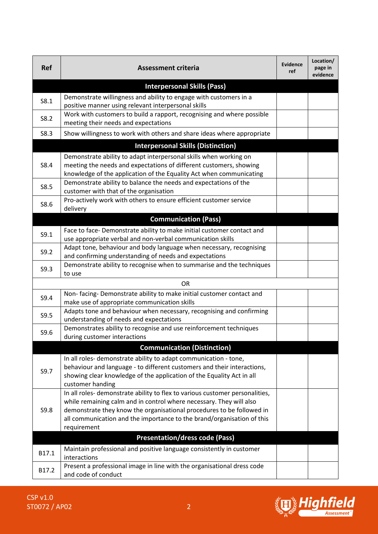| <b>Ref</b> | <b>Assessment criteria</b>                                                                                                                                                                                                                                                                                           | <b>Evidence</b><br>ref | Location/<br>page in<br>evidence |
|------------|----------------------------------------------------------------------------------------------------------------------------------------------------------------------------------------------------------------------------------------------------------------------------------------------------------------------|------------------------|----------------------------------|
|            | <b>Interpersonal Skills (Pass)</b>                                                                                                                                                                                                                                                                                   |                        |                                  |
| S8.1       | Demonstrate willingness and ability to engage with customers in a<br>positive manner using relevant interpersonal skills                                                                                                                                                                                             |                        |                                  |
| S8.2       | Work with customers to build a rapport, recognising and where possible<br>meeting their needs and expectations                                                                                                                                                                                                       |                        |                                  |
| S8.3       | Show willingness to work with others and share ideas where appropriate                                                                                                                                                                                                                                               |                        |                                  |
|            | <b>Interpersonal Skills (Distinction)</b>                                                                                                                                                                                                                                                                            |                        |                                  |
| S8.4       | Demonstrate ability to adapt interpersonal skills when working on<br>meeting the needs and expectations of different customers, showing<br>knowledge of the application of the Equality Act when communicating                                                                                                       |                        |                                  |
| S8.5       | Demonstrate ability to balance the needs and expectations of the<br>customer with that of the organisation                                                                                                                                                                                                           |                        |                                  |
| S8.6       | Pro-actively work with others to ensure efficient customer service<br>delivery                                                                                                                                                                                                                                       |                        |                                  |
|            | <b>Communication (Pass)</b>                                                                                                                                                                                                                                                                                          |                        |                                  |
| S9.1       | Face to face-Demonstrate ability to make initial customer contact and<br>use appropriate verbal and non-verbal communication skills                                                                                                                                                                                  |                        |                                  |
| S9.2       | Adapt tone, behaviour and body language when necessary, recognising<br>and confirming understanding of needs and expectations                                                                                                                                                                                        |                        |                                  |
| S9.3       | Demonstrate ability to recognise when to summarise and the techniques<br>to use                                                                                                                                                                                                                                      |                        |                                  |
|            | <b>OR</b>                                                                                                                                                                                                                                                                                                            |                        |                                  |
| S9.4       | Non-facing-Demonstrate ability to make initial customer contact and<br>make use of appropriate communication skills                                                                                                                                                                                                  |                        |                                  |
| S9.5       | Adapts tone and behaviour when necessary, recognising and confirming<br>understanding of needs and expectations                                                                                                                                                                                                      |                        |                                  |
| S9.6       | Demonstrates ability to recognise and use reinforcement techniques<br>during customer interactions                                                                                                                                                                                                                   |                        |                                  |
|            | <b>Communication (Distinction)</b>                                                                                                                                                                                                                                                                                   |                        |                                  |
| S9.7       | In all roles-demonstrate ability to adapt communication - tone,<br>behaviour and language - to different customers and their interactions,<br>showing clear knowledge of the application of the Equality Act in all<br>customer handing                                                                              |                        |                                  |
| S9.8       | In all roles-demonstrate ability to flex to various customer personalities,<br>while remaining calm and in control where necessary. They will also<br>demonstrate they know the organisational procedures to be followed in<br>all communication and the importance to the brand/organisation of this<br>requirement |                        |                                  |
| B17.1      | <b>Presentation/dress code (Pass)</b><br>Maintain professional and positive language consistently in customer<br>interactions                                                                                                                                                                                        |                        |                                  |
| B17.2      | Present a professional image in line with the organisational dress code<br>and code of conduct                                                                                                                                                                                                                       |                        |                                  |